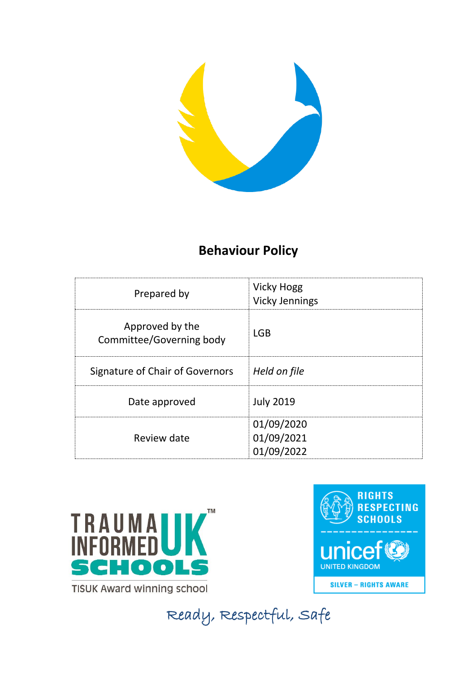

# **Behaviour Policy**

| Prepared by                                 | <b>Vicky Hogg</b><br><b>Vicky Jennings</b> |
|---------------------------------------------|--------------------------------------------|
| Approved by the<br>Committee/Governing body | <b>LGB</b>                                 |
| Signature of Chair of Governors             | Held on file                               |
| Date approved                               | <b>July 2019</b>                           |
| Review date                                 | 01/09/2020<br>01/09/2021<br>01/09/2022     |



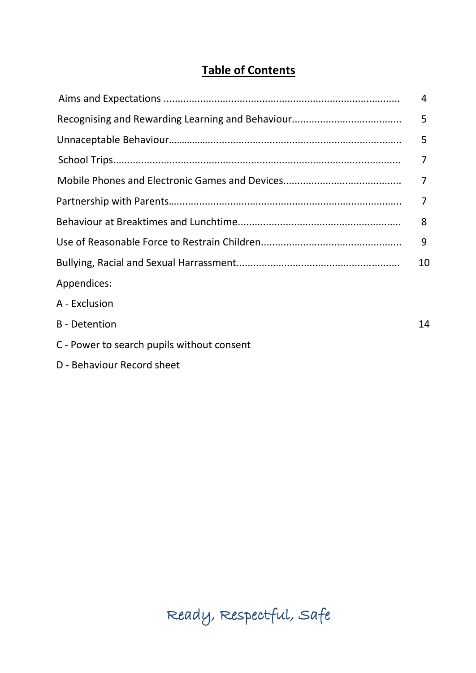# **Table of Contents**

|                                            | 4              |
|--------------------------------------------|----------------|
|                                            | 5              |
|                                            | 5              |
|                                            | 7              |
|                                            | $\overline{7}$ |
|                                            | $\overline{7}$ |
|                                            | 8              |
|                                            | 9              |
|                                            | 10             |
| Appendices:                                |                |
| A - Exclusion                              |                |
| <b>B</b> - Detention                       | 14             |
| C - Power to search pupils without consent |                |
| D - Behaviour Record sheet                 |                |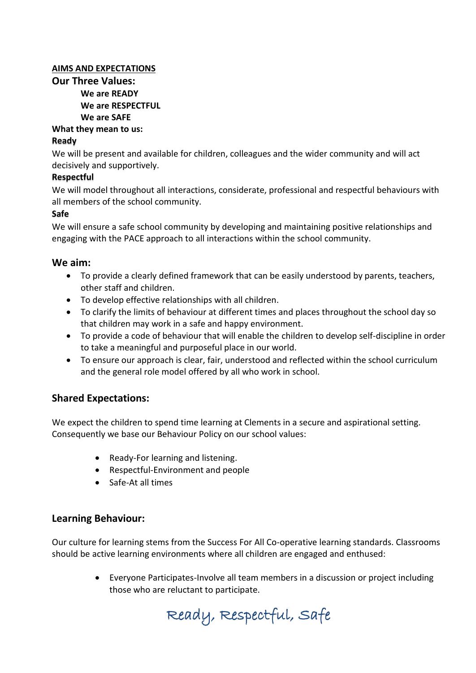## **AIMS AND EXPECTATIONS**

**Our Three Values: We are READY We are RESPECTFUL We are SAFE**

**What they mean to us:**

## **Ready**

We will be present and available for children, colleagues and the wider community and will act decisively and supportively.

#### **Respectful**

We will model throughout all interactions, considerate, professional and respectful behaviours with all members of the school community.

#### **Safe**

We will ensure a safe school community by developing and maintaining positive relationships and engaging with the PACE approach to all interactions within the school community.

# **We aim:**

- To provide a clearly defined framework that can be easily understood by parents, teachers, other staff and children.
- To develop effective relationships with all children.
- To clarify the limits of behaviour at different times and places throughout the school day so that children may work in a safe and happy environment.
- To provide a code of behaviour that will enable the children to develop self-discipline in order to take a meaningful and purposeful place in our world.
- To ensure our approach is clear, fair, understood and reflected within the school curriculum and the general role model offered by all who work in school.

# **Shared Expectations:**

We expect the children to spend time learning at Clements in a secure and aspirational setting. Consequently we base our Behaviour Policy on our school values:

- Ready-For learning and listening.
- Respectful-Environment and people
- Safe-At all times

# **Learning Behaviour:**

Our culture for learning stems from the Success For All Co-operative learning standards. Classrooms should be active learning environments where all children are engaged and enthused:

> Everyone Participates-Involve all team members in a discussion or project including those who are reluctant to participate.

Ready, Respectful, Safe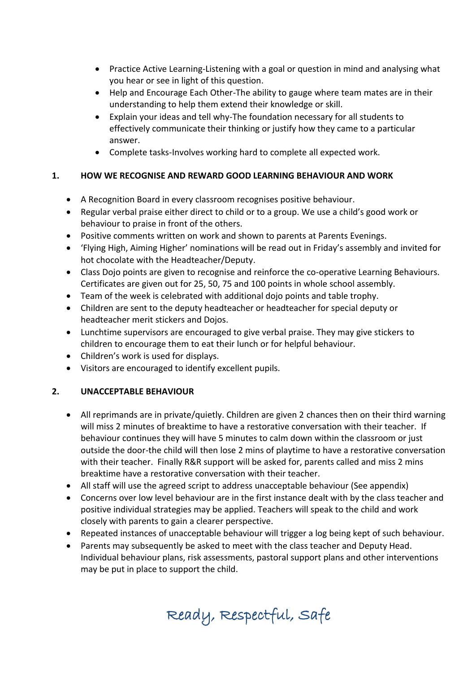- Practice Active Learning-Listening with a goal or question in mind and analysing what you hear or see in light of this question.
- Help and Encourage Each Other-The ability to gauge where team mates are in their understanding to help them extend their knowledge or skill.
- Explain your ideas and tell why-The foundation necessary for all students to effectively communicate their thinking or justify how they came to a particular answer.
- Complete tasks-Involves working hard to complete all expected work.

# **1. HOW WE RECOGNISE AND REWARD GOOD LEARNING BEHAVIOUR AND WORK**

- A Recognition Board in every classroom recognises positive behaviour.
- Regular verbal praise either direct to child or to a group. We use a child's good work or behaviour to praise in front of the others.
- Positive comments written on work and shown to parents at Parents Evenings.
- 'Flying High, Aiming Higher' nominations will be read out in Friday's assembly and invited for hot chocolate with the Headteacher/Deputy.
- Class Dojo points are given to recognise and reinforce the co-operative Learning Behaviours. Certificates are given out for 25, 50, 75 and 100 points in whole school assembly.
- Team of the week is celebrated with additional dojo points and table trophy.
- Children are sent to the deputy headteacher or headteacher for special deputy or headteacher merit stickers and Dojos.
- Lunchtime supervisors are encouraged to give verbal praise. They may give stickers to children to encourage them to eat their lunch or for helpful behaviour.
- Children's work is used for displays.
- Visitors are encouraged to identify excellent pupils.

# **2. UNACCEPTABLE BEHAVIOUR**

- All reprimands are in private/quietly. Children are given 2 chances then on their third warning will miss 2 minutes of breaktime to have a restorative conversation with their teacher. If behaviour continues they will have 5 minutes to calm down within the classroom or just outside the door-the child will then lose 2 mins of playtime to have a restorative conversation with their teacher. Finally R&R support will be asked for, parents called and miss 2 mins breaktime have a restorative conversation with their teacher.
- All staff will use the agreed script to address unacceptable behaviour (See appendix)
- Concerns over low level behaviour are in the first instance dealt with by the class teacher and positive individual strategies may be applied. Teachers will speak to the child and work closely with parents to gain a clearer perspective.
- Repeated instances of unacceptable behaviour will trigger a log being kept of such behaviour.
- Parents may subsequently be asked to meet with the class teacher and Deputy Head. Individual behaviour plans, risk assessments, pastoral support plans and other interventions may be put in place to support the child.

Ready, Respectful, Safe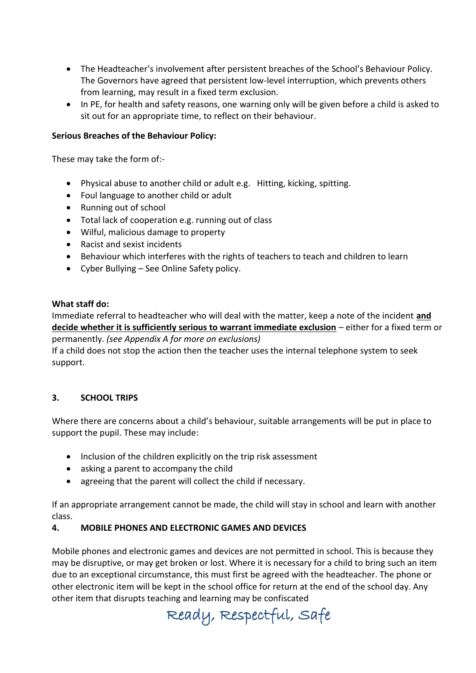- The Headteacher's involvement after persistent breaches of the School's Behaviour Policy. The Governors have agreed that persistent low-level interruption, which prevents others from learning, may result in a fixed term exclusion.
- In PE, for health and safety reasons, one warning only will be given before a child is asked to sit out for an appropriate time, to reflect on their behaviour.

## **Serious Breaches of the Behaviour Policy:**

These may take the form of:-

- Physical abuse to another child or adult e.g. Hitting, kicking, spitting.
- Foul language to another child or adult
- Running out of school
- Total lack of cooperation e.g. running out of class
- Wilful, malicious damage to property
- Racist and sexist incidents
- Behaviour which interferes with the rights of teachers to teach and children to learn
- Cyber Bullying See Online Safety policy.

#### **What staff do:**

Immediate referral to headteacher who will deal with the matter, keep a note of the incident **and decide whether it is sufficiently serious to warrant immediate exclusion** – either for a fixed term or permanently. *(see Appendix A for more on exclusions)* If a child does not stop the action then the teacher uses the internal telephone system to seek

support.

# **3. SCHOOL TRIPS**

Where there are concerns about a child's behaviour, suitable arrangements will be put in place to support the pupil. These may include:

- Inclusion of the children explicitly on the trip risk assessment
- asking a parent to accompany the child
- agreeing that the parent will collect the child if necessary.

If an appropriate arrangement cannot be made, the child will stay in school and learn with another class.

# **4. MOBILE PHONES AND ELECTRONIC GAMES AND DEVICES**

Mobile phones and electronic games and devices are not permitted in school. This is because they may be disruptive, or may get broken or lost. Where it is necessary for a child to bring such an item due to an exceptional circumstance, this must first be agreed with the headteacher. The phone or other electronic item will be kept in the school office for return at the end of the school day. Any other item that disrupts teaching and learning may be confiscated

Ready, Respectful, Safe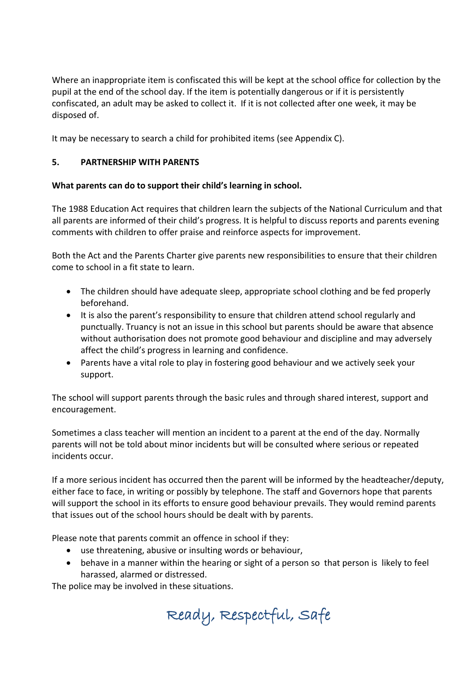Where an inappropriate item is confiscated this will be kept at the school office for collection by the pupil at the end of the school day. If the item is potentially dangerous or if it is persistently confiscated, an adult may be asked to collect it. If it is not collected after one week, it may be disposed of.

It may be necessary to search a child for prohibited items (see Appendix C).

# **5. PARTNERSHIP WITH PARENTS**

# **What parents can do to support their child's learning in school.**

The 1988 Education Act requires that children learn the subjects of the National Curriculum and that all parents are informed of their child's progress. It is helpful to discuss reports and parents evening comments with children to offer praise and reinforce aspects for improvement.

Both the Act and the Parents Charter give parents new responsibilities to ensure that their children come to school in a fit state to learn.

- The children should have adequate sleep, appropriate school clothing and be fed properly beforehand.
- It is also the parent's responsibility to ensure that children attend school regularly and punctually. Truancy is not an issue in this school but parents should be aware that absence without authorisation does not promote good behaviour and discipline and may adversely affect the child's progress in learning and confidence.
- Parents have a vital role to play in fostering good behaviour and we actively seek your support.

The school will support parents through the basic rules and through shared interest, support and encouragement.

Sometimes a class teacher will mention an incident to a parent at the end of the day. Normally parents will not be told about minor incidents but will be consulted where serious or repeated incidents occur.

If a more serious incident has occurred then the parent will be informed by the headteacher/deputy, either face to face, in writing or possibly by telephone. The staff and Governors hope that parents will support the school in its efforts to ensure good behaviour prevails. They would remind parents that issues out of the school hours should be dealt with by parents.

Please note that parents commit an offence in school if they:

- use threatening, abusive or insulting words or behaviour,
- behave in a manner within the hearing or sight of a person so that person is likely to feel harassed, alarmed or distressed.

The police may be involved in these situations.

Ready, Respectful, Safe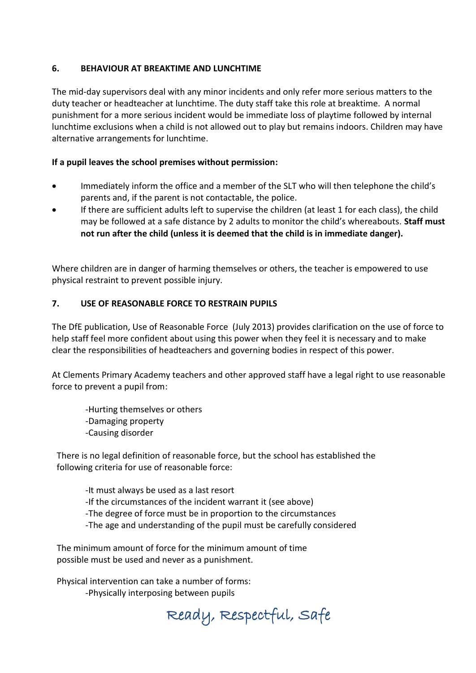## **6. BEHAVIOUR AT BREAKTIME AND LUNCHTIME**

The mid-day supervisors deal with any minor incidents and only refer more serious matters to the duty teacher or headteacher at lunchtime. The duty staff take this role at breaktime. A normal punishment for a more serious incident would be immediate loss of playtime followed by internal lunchtime exclusions when a child is not allowed out to play but remains indoors. Children may have alternative arrangements for lunchtime.

## **If a pupil leaves the school premises without permission:**

- Immediately inform the office and a member of the SLT who will then telephone the child's parents and, if the parent is not contactable, the police.
- If there are sufficient adults left to supervise the children (at least 1 for each class), the child may be followed at a safe distance by 2 adults to monitor the child's whereabouts. **Staff must not run after the child (unless it is deemed that the child is in immediate danger).**

Where children are in danger of harming themselves or others, the teacher is empowered to use physical restraint to prevent possible injury.

# **7. USE OF REASONABLE FORCE TO RESTRAIN PUPILS**

The DfE publication, Use of Reasonable Force (July 2013) provides clarification on the use of force to help staff feel more confident about using this power when they feel it is necessary and to make clear the responsibilities of headteachers and governing bodies in respect of this power.

At Clements Primary Academy teachers and other approved staff have a legal right to use reasonable force to prevent a pupil from:

-Hurting themselves or others -Damaging property -Causing disorder

There is no legal definition of reasonable force, but the school has established the following criteria for use of reasonable force:

-It must always be used as a last resort

-If the circumstances of the incident warrant it (see above)

-The degree of force must be in proportion to the circumstances

-The age and understanding of the pupil must be carefully considered

The minimum amount of force for the minimum amount of time possible must be used and never as a punishment.

Physical intervention can take a number of forms: -Physically interposing between pupils

Ready, Respectful, Safe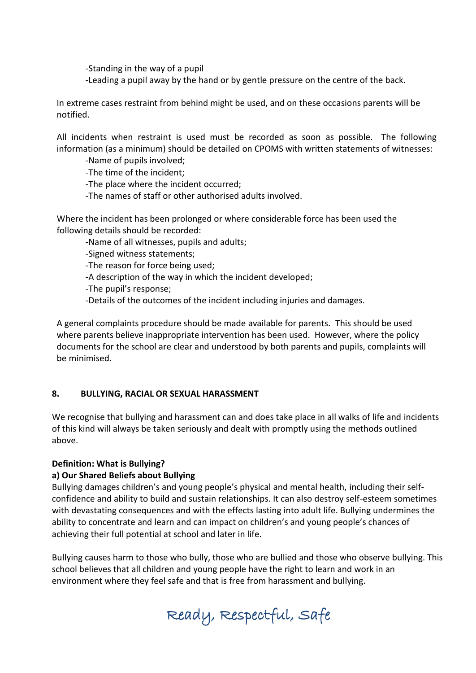-Standing in the way of a pupil

-Leading a pupil away by the hand or by gentle pressure on the centre of the back.

In extreme cases restraint from behind might be used, and on these occasions parents will be notified.

All incidents when restraint is used must be recorded as soon as possible. The following information (as a minimum) should be detailed on CPOMS with written statements of witnesses:

-Name of pupils involved;

-The time of the incident;

-The place where the incident occurred;

-The names of staff or other authorised adults involved.

Where the incident has been prolonged or where considerable force has been used the following details should be recorded:

-Name of all witnesses, pupils and adults;

-Signed witness statements;

-The reason for force being used;

-A description of the way in which the incident developed;

-The pupil's response;

-Details of the outcomes of the incident including injuries and damages.

A general complaints procedure should be made available for parents. This should be used where parents believe inappropriate intervention has been used. However, where the policy documents for the school are clear and understood by both parents and pupils, complaints will be minimised.

#### **8. BULLYING, RACIAL OR SEXUAL HARASSMENT**

We recognise that bullying and harassment can and does take place in all walks of life and incidents of this kind will always be taken seriously and dealt with promptly using the methods outlined above.

#### **Definition: What is Bullying?**

#### **a) Our Shared Beliefs about Bullying**

Bullying damages children's and young people's physical and mental health, including their selfconfidence and ability to build and sustain relationships. It can also destroy self-esteem sometimes with devastating consequences and with the effects lasting into adult life. Bullying undermines the ability to concentrate and learn and can impact on children's and young people's chances of achieving their full potential at school and later in life.

Bullying causes harm to those who bully, those who are bullied and those who observe bullying. This school believes that all children and young people have the right to learn and work in an environment where they feel safe and that is free from harassment and bullying.

Ready, Respectful, Safe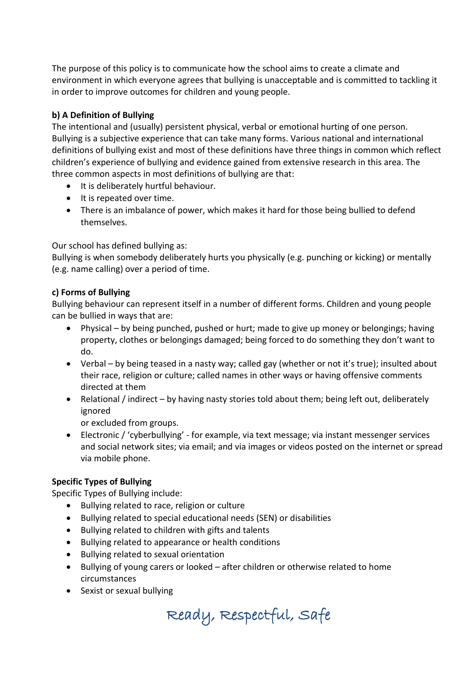The purpose of this policy is to communicate how the school aims to create a climate and environment in which everyone agrees that bullying is unacceptable and is committed to tackling it in order to improve outcomes for children and young people.

# **b) A Definition of Bullying**

The intentional and (usually) persistent physical, verbal or emotional hurting of one person. Bullying is a subjective experience that can take many forms. Various national and international definitions of bullying exist and most of these definitions have three things in common which reflect children's experience of bullying and evidence gained from extensive research in this area. The three common aspects in most definitions of bullying are that:

- It is deliberately hurtful behaviour.
- It is repeated over time.
- There is an imbalance of power, which makes it hard for those being bullied to defend themselves.

Our school has defined bullying as:

Bullying is when somebody deliberately hurts you physically (e.g. punching or kicking) or mentally (e.g. name calling) over a period of time.

# **c) Forms of Bullying**

Bullying behaviour can represent itself in a number of different forms. Children and young people can be bullied in ways that are:

- Physical by being punched, pushed or hurt; made to give up money or belongings; having property, clothes or belongings damaged; being forced to do something they don't want to do.
- Verbal by being teased in a nasty way; called gay (whether or not it's true); insulted about their race, religion or culture; called names in other ways or having offensive comments directed at them
- Relational / indirect by having nasty stories told about them; being left out, deliberately ignored

or excluded from groups.

 Electronic / 'cyberbullying' - for example, via text message; via instant messenger services and social network sites; via email; and via images or videos posted on the internet or spread via mobile phone.

# **Specific Types of Bullying**

Specific Types of Bullying include:

- Bullying related to race, religion or culture
- Bullying related to special educational needs (SEN) or disabilities
- Bullying related to children with gifts and talents
- Bullying related to appearance or health conditions
- Bullying related to sexual orientation
- Bullying of young carers or looked after children or otherwise related to home circumstances
- Sexist or sexual bullying

Ready, Respectful, Safe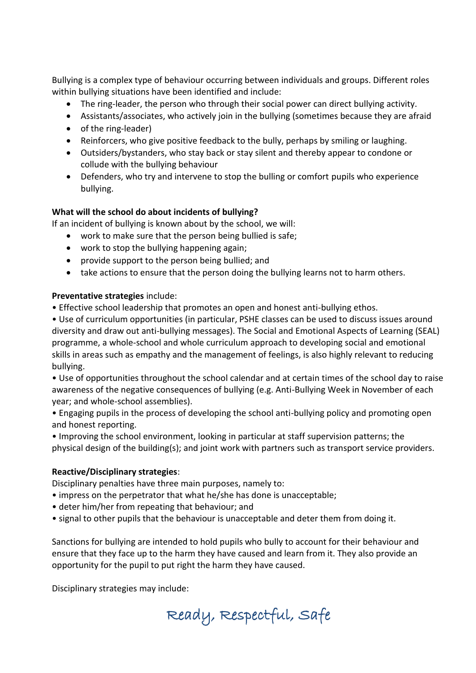Bullying is a complex type of behaviour occurring between individuals and groups. Different roles within bullying situations have been identified and include:

- The ring-leader, the person who through their social power can direct bullying activity.
- Assistants/associates, who actively join in the bullying (sometimes because they are afraid
- of the ring-leader)
- Reinforcers, who give positive feedback to the bully, perhaps by smiling or laughing.
- Outsiders/bystanders, who stay back or stay silent and thereby appear to condone or collude with the bullying behaviour
- Defenders, who try and intervene to stop the bulling or comfort pupils who experience bullying.

#### **What will the school do about incidents of bullying?**

If an incident of bullying is known about by the school, we will:

- work to make sure that the person being bullied is safe;
- work to stop the bullying happening again;
- provide support to the person being bullied; and
- take actions to ensure that the person doing the bullying learns not to harm others.

#### **Preventative strategies** include:

• Effective school leadership that promotes an open and honest anti-bullying ethos.

• Use of curriculum opportunities (in particular, PSHE classes can be used to discuss issues around diversity and draw out anti-bullying messages). The Social and Emotional Aspects of Learning (SEAL) programme, a whole-school and whole curriculum approach to developing social and emotional skills in areas such as empathy and the management of feelings, is also highly relevant to reducing bullying.

• Use of opportunities throughout the school calendar and at certain times of the school day to raise awareness of the negative consequences of bullying (e.g. Anti-Bullying Week in November of each year; and whole-school assemblies).

• Engaging pupils in the process of developing the school anti-bullying policy and promoting open and honest reporting.

• Improving the school environment, looking in particular at staff supervision patterns; the physical design of the building(s); and joint work with partners such as transport service providers.

#### **Reactive/Disciplinary strategies**:

Disciplinary penalties have three main purposes, namely to:

- impress on the perpetrator that what he/she has done is unacceptable;
- deter him/her from repeating that behaviour; and
- signal to other pupils that the behaviour is unacceptable and deter them from doing it.

Sanctions for bullying are intended to hold pupils who bully to account for their behaviour and ensure that they face up to the harm they have caused and learn from it. They also provide an opportunity for the pupil to put right the harm they have caused.

Disciplinary strategies may include:

Ready, Respectful, Safe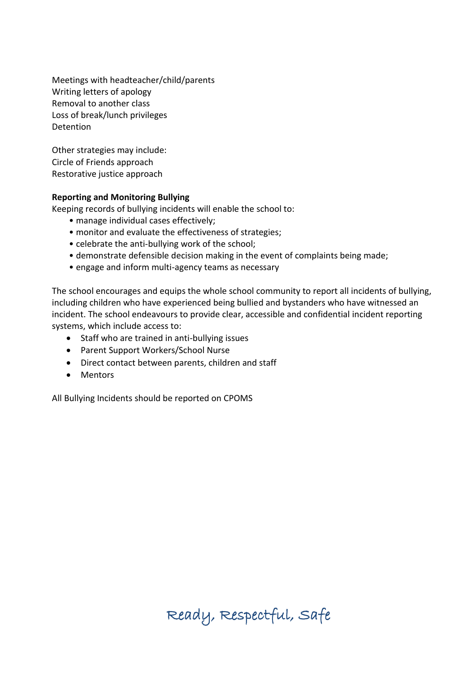Meetings with headteacher/child/parents Writing letters of apology Removal to another class Loss of break/lunch privileges **Detention** 

Other strategies may include: Circle of Friends approach Restorative justice approach

#### **Reporting and Monitoring Bullying**

Keeping records of bullying incidents will enable the school to:

- manage individual cases effectively;
- monitor and evaluate the effectiveness of strategies;
- celebrate the anti-bullying work of the school;
- demonstrate defensible decision making in the event of complaints being made;
- engage and inform multi-agency teams as necessary

The school encourages and equips the whole school community to report all incidents of bullying, including children who have experienced being bullied and bystanders who have witnessed an incident. The school endeavours to provide clear, accessible and confidential incident reporting systems, which include access to:

- Staff who are trained in anti-bullying issues
- Parent Support Workers/School Nurse
- Direct contact between parents, children and staff
- Mentors

All Bullying Incidents should be reported on CPOMS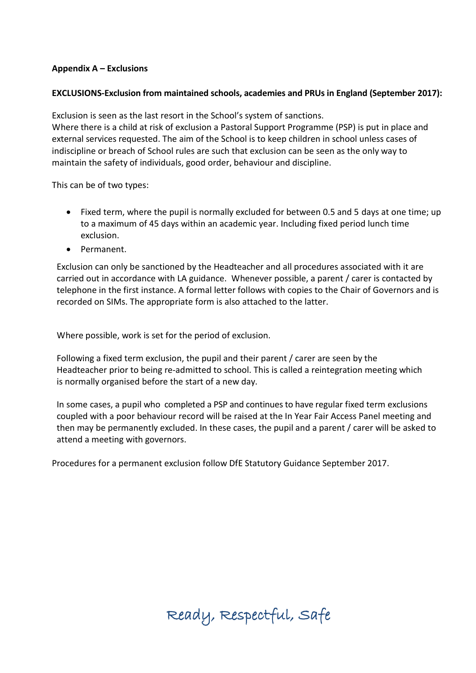#### **Appendix A – Exclusions**

## **EXCLUSIONS-Exclusion from maintained schools, academies and PRUs in England (September 2017):**

Exclusion is seen as the last resort in the School's system of sanctions.

Where there is a child at risk of exclusion a Pastoral Support Programme (PSP) is put in place and external services requested. The aim of the School is to keep children in school unless cases of indiscipline or breach of School rules are such that exclusion can be seen as the only way to maintain the safety of individuals, good order, behaviour and discipline.

This can be of two types:

- Fixed term, where the pupil is normally excluded for between 0.5 and 5 days at one time; up to a maximum of 45 days within an academic year. Including fixed period lunch time exclusion.
- Permanent.

Exclusion can only be sanctioned by the Headteacher and all procedures associated with it are carried out in accordance with LA guidance. Whenever possible, a parent / carer is contacted by telephone in the first instance. A formal letter follows with copies to the Chair of Governors and is recorded on SIMs. The appropriate form is also attached to the latter.

Where possible, work is set for the period of exclusion.

Following a fixed term exclusion, the pupil and their parent / carer are seen by the Headteacher prior to being re-admitted to school. This is called a reintegration meeting which is normally organised before the start of a new day.

In some cases, a pupil who completed a PSP and continues to have regular fixed term exclusions coupled with a poor behaviour record will be raised at the In Year Fair Access Panel meeting and then may be permanently excluded. In these cases, the pupil and a parent / carer will be asked to attend a meeting with governors.

Procedures for a permanent exclusion follow DfE Statutory Guidance September 2017.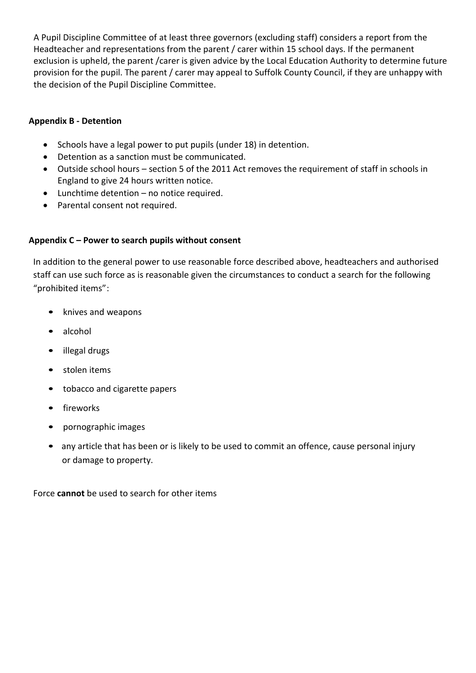A Pupil Discipline Committee of at least three governors (excluding staff) considers a report from the Headteacher and representations from the parent / carer within 15 school days. If the permanent exclusion is upheld, the parent /carer is given advice by the Local Education Authority to determine future provision for the pupil. The parent / carer may appeal to Suffolk County Council, if they are unhappy with the decision of the Pupil Discipline Committee.

## **Appendix B - Detention**

- Schools have a legal power to put pupils (under 18) in detention.
- Detention as a sanction must be communicated.
- Outside school hours section 5 of the 2011 Act removes the requirement of staff in schools in England to give 24 hours written notice.
- Lunchtime detention no notice required.
- Parental consent not required.

#### **Appendix C – Power to search pupils without consent**

In addition to the general power to use reasonable force described above, headteachers and authorised staff can use such force as is reasonable given the circumstances to conduct a search for the following "prohibited items":

- knives and weapons
- alcohol
- illegal drugs
- stolen items
- tobacco and cigarette papers
- **fireworks**
- pornographic images
- any article that has been or is likely to be used to commit an offence, cause personal injury or damage to property.

Force **cannot** be used to search for other items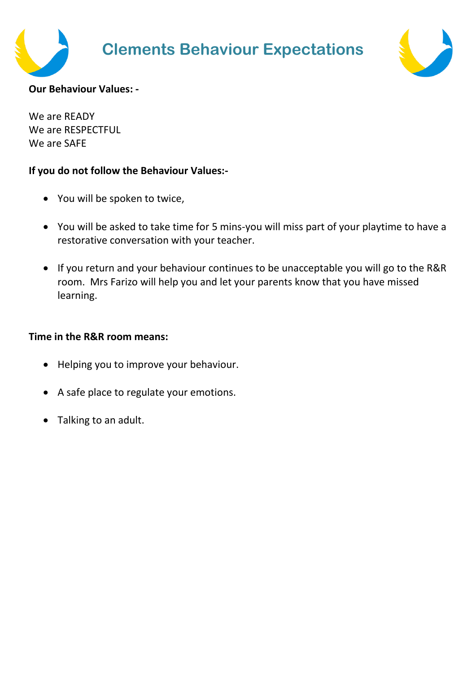



# **Our Behaviour Values: -**

We are READY We are RESPECTFUL We are SAFE

# **If you do not follow the Behaviour Values:-**

- You will be spoken to twice,
- You will be asked to take time for 5 mins-you will miss part of your playtime to have a restorative conversation with your teacher.
- If you return and your behaviour continues to be unacceptable you will go to the R&R room. Mrs Farizo will help you and let your parents know that you have missed learning.

# **Time in the R&R room means:**

- Helping you to improve your behaviour.
- A safe place to regulate your emotions.
- Talking to an adult.